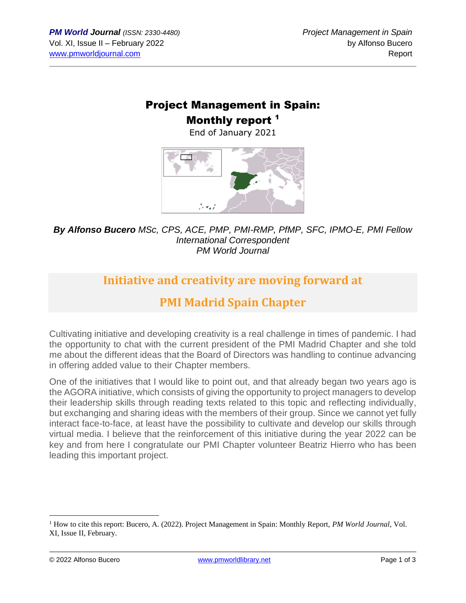## Project Management in Spain: Monthly report<sup>1</sup>

End of January 2021



*By Alfonso Bucero MSc, CPS, ACE, PMP, PMI-RMP, PfMP, SFC, IPMO-E, PMI Fellow International Correspondent PM World Journal*

## **Initiative and creativity are moving forward at**

# **PMI Madrid Spain Chapter**

Cultivating initiative and developing creativity is a real challenge in times of pandemic. I had the opportunity to chat with the current president of the PMI Madrid Chapter and she told me about the different ideas that the Board of Directors was handling to continue advancing in offering added value to their Chapter members.

One of the initiatives that I would like to point out, and that already began two years ago is the AGORA initiative, which consists of giving the opportunity to project managers to develop their leadership skills through reading texts related to this topic and reflecting individually, but exchanging and sharing ideas with the members of their group. Since we cannot yet fully interact face-to-face, at least have the possibility to cultivate and develop our skills through virtual media. I believe that the reinforcement of this initiative during the year 2022 can be key and from here I congratulate our PMI Chapter volunteer Beatriz Hierro who has been leading this important project.

<sup>1</sup> How to cite this report: Bucero, A. (2022). Project Management in Spain: Monthly Report, *PM World Journal*, Vol. XI, Issue II, February.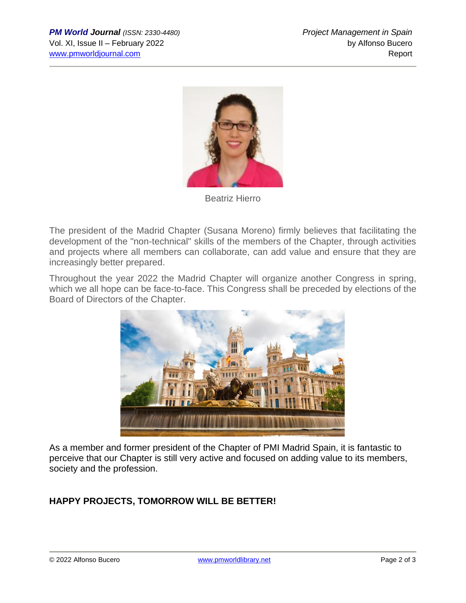

Beatriz Hierro

The president of the Madrid Chapter (Susana Moreno) firmly believes that facilitating the development of the "non-technical" skills of the members of the Chapter, through activities and projects where all members can collaborate, can add value and ensure that they are increasingly better prepared.

Throughout the year 2022 the Madrid Chapter will organize another Congress in spring, which we all hope can be face-to-face. This Congress shall be preceded by elections of the Board of Directors of the Chapter.



As a member and former president of the Chapter of PMI Madrid Spain, it is fantastic to perceive that our Chapter is still very active and focused on adding value to its members, society and the profession.

#### **HAPPY PROJECTS, TOMORROW WILL BE BETTER!**